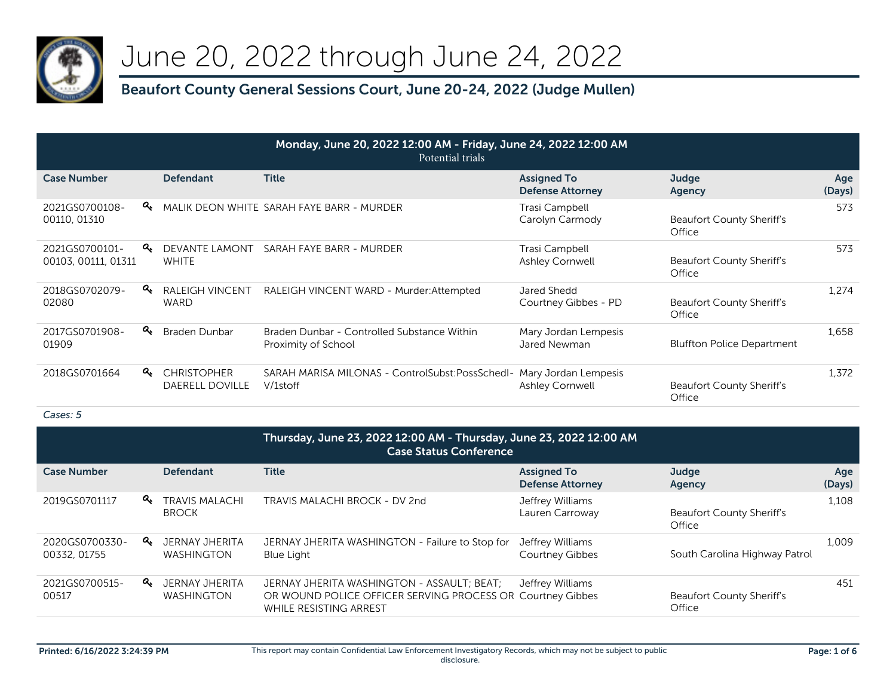

# June 20, 2022 through June 24, 2022

## **Beaufort County General Sessions Court, June 20-24, 2022 (Judge Mullen)**

| Monday, June 20, 2022 12:00 AM - Friday, June 24, 2022 12:00 AM<br>Potential trials |    |                                              |                                                                    |                                                |                                            |               |  |
|-------------------------------------------------------------------------------------|----|----------------------------------------------|--------------------------------------------------------------------|------------------------------------------------|--------------------------------------------|---------------|--|
| <b>Case Number</b>                                                                  |    | <b>Defendant</b>                             | <b>Title</b>                                                       | <b>Assigned To</b><br><b>Defense Attorney</b>  | Judge<br>Agency                            | Age<br>(Days) |  |
| 2021GS0700108-<br>00110, 01310                                                      | Q. |                                              | MALIK DEON WHITE SARAH FAYE BARR - MURDER                          | Trasi Campbell<br>Carolyn Carmody              | <b>Beaufort County Sheriff's</b><br>Office | 573           |  |
| 2021GS0700101-<br>00103, 00111, 01311                                               | Q. | DEVANTE LAMONT<br><b>WHITE</b>               | SARAH FAYE BARR - MURDER                                           | Trasi Campbell<br>Ashley Cornwell              | Beaufort County Sheriff's<br>Office        | 573           |  |
| 2018GS0702079-<br>02080                                                             | Q. | <b>RALEIGH VINCENT</b><br><b>WARD</b>        | RALEIGH VINCENT WARD - Murder: Attempted                           | Jared Shedd<br>Courtney Gibbes - PD            | Beaufort County Sheriff's<br>Office        | 1.274         |  |
| 2017GS0701908-<br>01909                                                             | a. | Braden Dunbar                                | Braden Dunbar - Controlled Substance Within<br>Proximity of School | Mary Jordan Lempesis<br>Jared Newman           | <b>Bluffton Police Department</b>          | 1.658         |  |
| 2018GS0701664                                                                       | a. | <b>CHRISTOPHER</b><br><b>DAERELL DOVILLE</b> | SARAH MARISA MILONAS - ControlSubst:PossSchedI-<br>V/1stoff        | Mary Jordan Lempesis<br><b>Ashley Cornwell</b> | <b>Beaufort County Sheriff's</b><br>Office | 1.372         |  |

|                                | Thursday, June 23, 2022 12:00 AM - Thursday, June 23, 2022 12:00 AM<br><b>Case Status Conference</b> |                                       |                                                                                                                                    |                                               |                                            |               |
|--------------------------------|------------------------------------------------------------------------------------------------------|---------------------------------------|------------------------------------------------------------------------------------------------------------------------------------|-----------------------------------------------|--------------------------------------------|---------------|
| <b>Case Number</b>             |                                                                                                      | <b>Defendant</b>                      | <b>Title</b>                                                                                                                       | <b>Assigned To</b><br><b>Defense Attorney</b> | Judge<br>Agency                            | Age<br>(Days) |
| 2019GS0701117                  | $a_{\!\star}$                                                                                        | <b>TRAVIS MALACHI</b><br><b>BROCK</b> | TRAVIS MALACHI BROCK - DV 2nd                                                                                                      | Jeffrey Williams<br>Lauren Carroway           | <b>Beaufort County Sheriff's</b><br>Office | 1.108         |
| 2020GS0700330-<br>00332, 01755 | a.                                                                                                   | JERNAY JHERITA<br><b>WASHINGTON</b>   | JERNAY JHERITA WASHINGTON - Failure to Stop for<br><b>Blue Light</b>                                                               | Jeffrey Williams<br><b>Courtney Gibbes</b>    | South Carolina Highway Patrol              | 1.009         |
| 2021GS0700515-<br>00517        | $a_{\!\star}$                                                                                        | JERNAY JHERITA<br><b>WASHINGTON</b>   | JERNAY JHERITA WASHINGTON - ASSAULT, BEAT,<br>OR WOUND POLICE OFFICER SERVING PROCESS OR Courtney Gibbes<br>WHILE RESISTING ARREST | Jeffrey Williams                              | <b>Beaufort County Sheriff's</b><br>Office | 451           |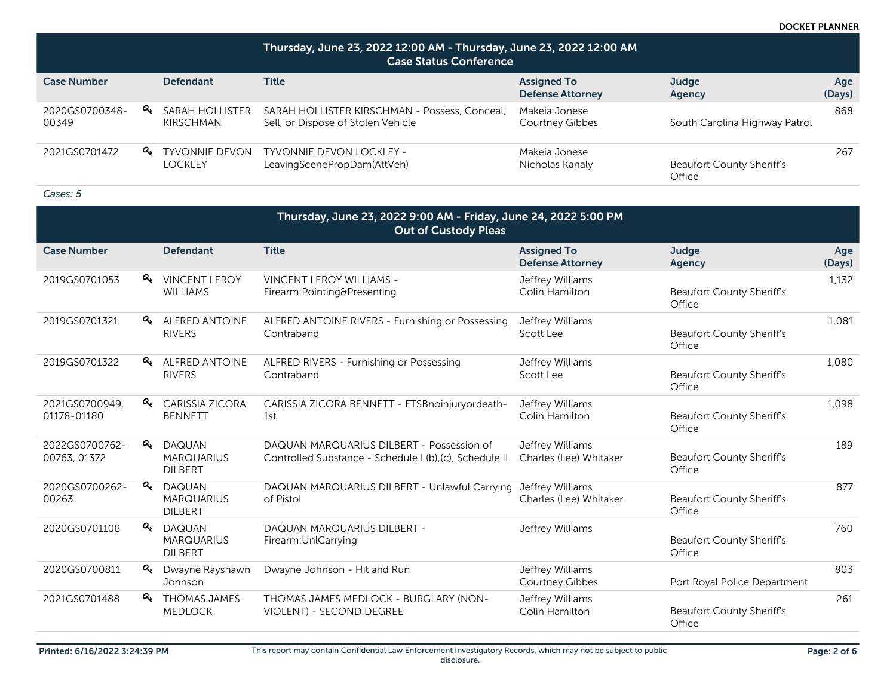DOCKET PLANNER

|                         | Thursday, June 23, 2022 12:00 AM - Thursday, June 23, 2022 12:00 AM<br><b>Case Status Conference</b> |                                           |                                                                                     |                                               |                                            |               |  |
|-------------------------|------------------------------------------------------------------------------------------------------|-------------------------------------------|-------------------------------------------------------------------------------------|-----------------------------------------------|--------------------------------------------|---------------|--|
| <b>Case Number</b>      |                                                                                                      | <b>Defendant</b>                          | <b>Title</b>                                                                        | <b>Assigned To</b><br><b>Defense Attorney</b> | Judge<br>Agency                            | Age<br>(Days) |  |
| 2020GS0700348-<br>00349 | a.                                                                                                   | SARAH HOLLISTER<br>KIRSCHMAN              | SARAH HOLLISTER KIRSCHMAN - Possess, Conceal,<br>Sell, or Dispose of Stolen Vehicle | Makeja Jonese<br><b>Courtney Gibbes</b>       | South Carolina Highway Patrol              | 868           |  |
| 2021GS0701472           |                                                                                                      | <b>Q</b> TYVONNIE DEVON<br><b>LOCKLEY</b> | <b>TYVONNIE DEVON LOCKLEY -</b><br>LeavingScenePropDam(AttVeh)                      | Makeja Jonese<br>Nicholas Kanaly              | <b>Beaufort County Sheriff's</b><br>Office | 267           |  |

| Thursday, June 23, 2022 9:00 AM - Friday, June 24, 2022 5:00 PM<br><b>Out of Custody Pleas</b> |               |                                                      |                                                                                                      |                                               |                                            |               |
|------------------------------------------------------------------------------------------------|---------------|------------------------------------------------------|------------------------------------------------------------------------------------------------------|-----------------------------------------------|--------------------------------------------|---------------|
| <b>Case Number</b>                                                                             |               | <b>Defendant</b>                                     | <b>Title</b>                                                                                         | <b>Assigned To</b><br><b>Defense Attorney</b> | Judge<br>Agency                            | Age<br>(Days) |
| 2019GS0701053                                                                                  | $a_{\!\star}$ | <b>VINCENT LEROY</b><br><b>WILLIAMS</b>              | <b>VINCENT LEROY WILLIAMS -</b><br>Firearm:Pointing&Presenting                                       | Jeffrey Williams<br>Colin Hamilton            | <b>Beaufort County Sheriff's</b><br>Office | 1,132         |
| 2019GS0701321                                                                                  | Q.            | <b>ALFRED ANTOINE</b><br><b>RIVERS</b>               | ALFRED ANTOINE RIVERS - Furnishing or Possessing<br>Contraband                                       | Jeffrey Williams<br>Scott Lee                 | <b>Beaufort County Sheriff's</b><br>Office | 1.081         |
| 2019GS0701322                                                                                  |               | <b>4 ALFRED ANTOINE</b><br><b>RIVERS</b>             | ALFRED RIVERS - Furnishing or Possessing<br>Contraband                                               | Jeffrey Williams<br>Scott Lee                 | <b>Beaufort County Sheriff's</b><br>Office | 1,080         |
| 2021GS0700949,<br>01178-01180                                                                  |               | <b>A</b> CARISSIA ZICORA<br><b>BENNETT</b>           | CARISSIA ZICORA BENNETT - FTSBnoinjuryordeath-<br>1st                                                | Jeffrey Williams<br>Colin Hamilton            | <b>Beaufort County Sheriff's</b><br>Office | 1,098         |
| 2022GS0700762-<br>00763, 01372                                                                 | a.            | <b>DAQUAN</b><br><b>MARQUARIUS</b><br><b>DILBERT</b> | DAQUAN MARQUARIUS DILBERT - Possession of<br>Controlled Substance - Schedule I (b), (c), Schedule II | Jeffrey Williams<br>Charles (Lee) Whitaker    | <b>Beaufort County Sheriff's</b><br>Office | 189           |
| 2020GS0700262-<br>00263                                                                        | a.            | <b>DAQUAN</b><br><b>MARQUARIUS</b><br><b>DILBERT</b> | DAQUAN MARQUARIUS DILBERT - Unlawful Carrying<br>of Pistol                                           | Jeffrey Williams<br>Charles (Lee) Whitaker    | <b>Beaufort County Sheriff's</b><br>Office | 877           |
| 2020GS0701108                                                                                  | $a_{\!\star}$ | <b>DAQUAN</b><br><b>MARQUARIUS</b><br><b>DILBERT</b> | DAQUAN MARQUARIUS DILBERT -<br>Firearm: UnlCarrying                                                  | Jeffrey Williams                              | <b>Beaufort County Sheriff's</b><br>Office | 760           |
| 2020GS0700811                                                                                  | Q.            | Dwayne Rayshawn<br>Johnson                           | Dwayne Johnson - Hit and Run                                                                         | Jeffrey Williams<br><b>Courtney Gibbes</b>    | Port Royal Police Department               | 803           |
| 2021GS0701488                                                                                  | Q.            | <b>THOMAS JAMES</b><br><b>MEDLOCK</b>                | THOMAS JAMES MEDLOCK - BURGLARY (NON-<br><b>VIOLENT) - SECOND DEGREE</b>                             | Jeffrey Williams<br>Colin Hamilton            | <b>Beaufort County Sheriff's</b><br>Office | 261           |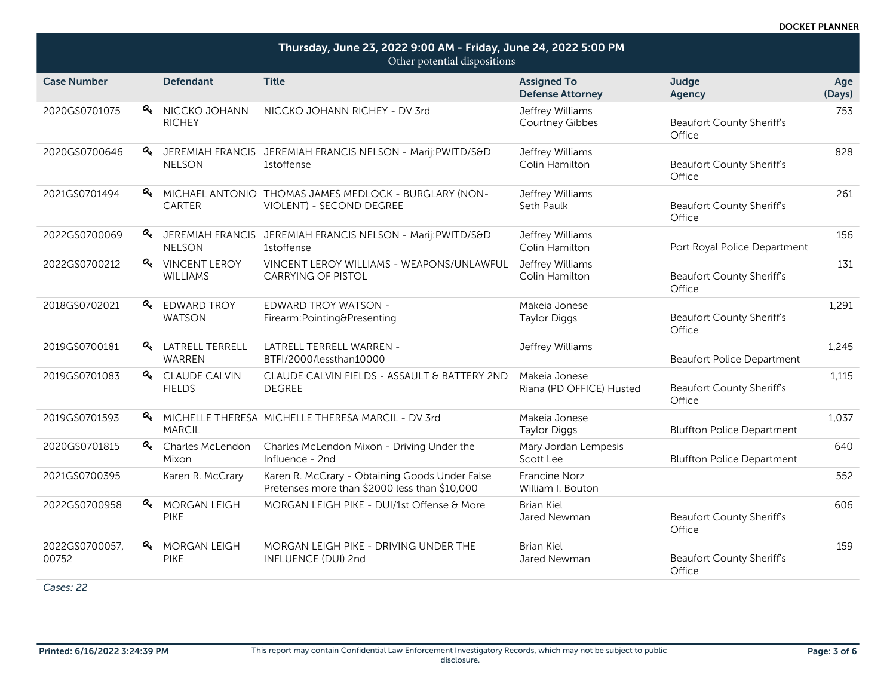| Thursday, June 23, 2022 9:00 AM - Friday, June 24, 2022 5:00 PM<br>Other potential dispositions |                  |                                         |                                                                                                 |                                               |                                            |               |
|-------------------------------------------------------------------------------------------------|------------------|-----------------------------------------|-------------------------------------------------------------------------------------------------|-----------------------------------------------|--------------------------------------------|---------------|
| <b>Case Number</b>                                                                              |                  | <b>Defendant</b>                        | <b>Title</b>                                                                                    | <b>Assigned To</b><br><b>Defense Attorney</b> | Judge<br>Agency                            | Age<br>(Days) |
| 2020GS0701075                                                                                   | a.               | NICCKO JOHANN<br><b>RICHEY</b>          | NICCKO JOHANN RICHEY - DV 3rd                                                                   | Jeffrey Williams<br>Courtney Gibbes           | <b>Beaufort County Sheriff's</b><br>Office | 753           |
| 2020GS0700646                                                                                   |                  | <b>NELSON</b>                           | <b>4.</b> JEREMIAH FRANCIS JEREMIAH FRANCIS NELSON - Marij:PWITD/S&D<br>1stoffense              | Jeffrey Williams<br>Colin Hamilton            | <b>Beaufort County Sheriff's</b><br>Office | 828           |
| 2021GS0701494                                                                                   | $\alpha$         | <b>CARTER</b>                           | MICHAEL ANTONIO THOMAS JAMES MEDLOCK - BURGLARY (NON-<br>VIOLENT) - SECOND DEGREE               | Jeffrey Williams<br>Seth Paulk                | <b>Beaufort County Sheriff's</b><br>Office | 261           |
| 2022GS0700069                                                                                   |                  | <b>NELSON</b>                           | 4 JEREMIAH FRANCIS JEREMIAH FRANCIS NELSON - Marij:PWITD/S&D<br><b>1stoffense</b>               | Jeffrey Williams<br>Colin Hamilton            | Port Royal Police Department               | 156           |
| 2022GS0700212                                                                                   |                  | <b>Q</b> VINCENT LEROY<br>WILLIAMS      | VINCENT LEROY WILLIAMS - WEAPONS/UNLAWFUL<br><b>CARRYING OF PISTOL</b>                          | Jeffrey Williams<br>Colin Hamilton            | <b>Beaufort County Sheriff's</b><br>Office | 131           |
| 2018GS0702021                                                                                   | a.               | <b>EDWARD TROY</b><br><b>WATSON</b>     | <b>EDWARD TROY WATSON -</b><br>Firearm:Pointing&Presenting                                      | Makeia Jonese<br><b>Taylor Diggs</b>          | <b>Beaufort County Sheriff's</b><br>Office | 1,291         |
| 2019GS0700181                                                                                   | ୍ଚ               | <b>LATRELL TERRELL</b><br><b>WARREN</b> | LATRELL TERRELL WARREN -<br>BTFI/2000/lessthan10000                                             | Jeffrey Williams                              | <b>Beaufort Police Department</b>          | 1,245         |
| 2019GS0701083                                                                                   |                  | <b>Q</b> CLAUDE CALVIN<br><b>FIELDS</b> | CLAUDE CALVIN FIELDS - ASSAULT & BATTERY 2ND<br><b>DEGREE</b>                                   | Makeia Jonese<br>Riana (PD OFFICE) Husted     | <b>Beaufort County Sheriff's</b><br>Office | 1.115         |
| 2019GS0701593                                                                                   |                  | <b>MARCIL</b>                           | A MICHELLE THERESA MICHELLE THERESA MARCIL - DV 3rd                                             | Makeia Jonese<br><b>Taylor Diggs</b>          | <b>Bluffton Police Department</b>          | 1,037         |
| 2020GS0701815                                                                                   |                  | & Charles McLendon<br>Mixon             | Charles McLendon Mixon - Driving Under the<br>Influence - 2nd                                   | Mary Jordan Lempesis<br>Scott Lee             | <b>Bluffton Police Department</b>          | 640           |
| 2021GS0700395                                                                                   |                  | Karen R. McCrary                        | Karen R. McCrary - Obtaining Goods Under False<br>Pretenses more than \$2000 less than \$10,000 | <b>Francine Norz</b><br>William I. Bouton     |                                            | 552           |
| 2022GS0700958                                                                                   | a.               | <b>MORGAN LEIGH</b><br><b>PIKE</b>      | MORGAN LEIGH PIKE - DUI/1st Offense & More                                                      | <b>Brian Kiel</b><br>Jared Newman             | <b>Beaufort County Sheriff's</b><br>Office | 606           |
| 2022GS0700057,<br>00752                                                                         | $\mathbf{a}_{k}$ | <b>MORGAN LEIGH</b><br><b>PIKE</b>      | MORGAN LEIGH PIKE - DRIVING UNDER THE<br>INFLUENCE (DUI) 2nd                                    | <b>Brian Kiel</b><br>Jared Newman             | <b>Beaufort County Sheriff's</b><br>Office | 159           |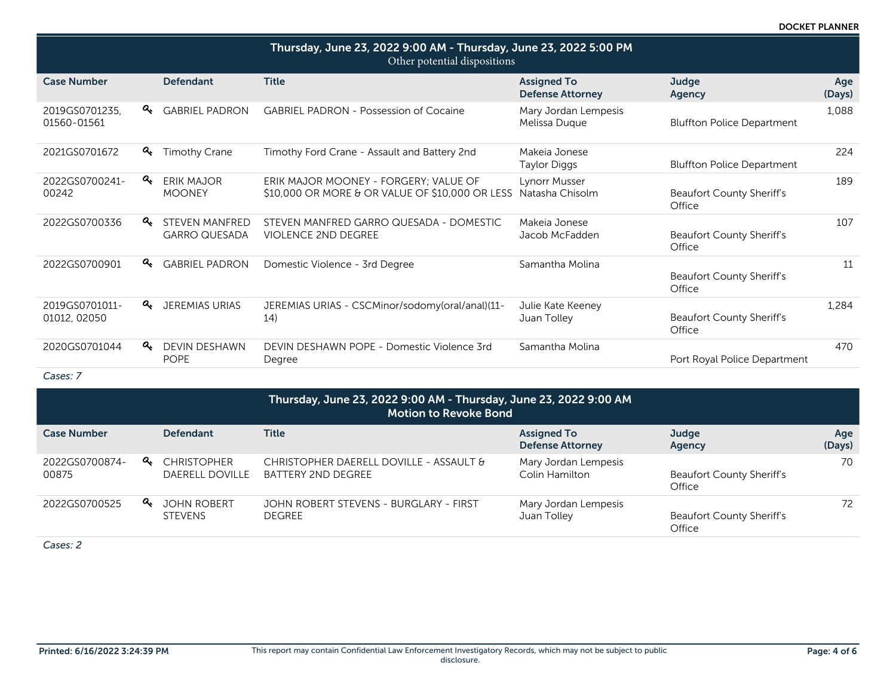DOCKET PLANNER

| Thursday, June 23, 2022 9:00 AM - Thursday, June 23, 2022 5:00 PM<br>Other potential dispositions |                                               |                                                                                          |                                               |                                            |               |  |  |
|---------------------------------------------------------------------------------------------------|-----------------------------------------------|------------------------------------------------------------------------------------------|-----------------------------------------------|--------------------------------------------|---------------|--|--|
| <b>Case Number</b>                                                                                | <b>Defendant</b>                              | <b>Title</b>                                                                             | <b>Assigned To</b><br><b>Defense Attorney</b> | Judge<br><b>Agency</b>                     | Age<br>(Days) |  |  |
| $a_{\!\star}$<br>2019GS0701235.<br>01560-01561                                                    | <b>GABRIEL PADRON</b>                         | <b>GABRIEL PADRON - Possession of Cocaine</b>                                            | Mary Jordan Lempesis<br>Melissa Duque         | <b>Bluffton Police Department</b>          | 1.088         |  |  |
| a.<br>2021GS0701672                                                                               | <b>Timothy Crane</b>                          | Timothy Ford Crane - Assault and Battery 2nd                                             | Makeja Jonese<br>Taylor Diggs                 | <b>Bluffton Police Department</b>          | 224           |  |  |
| a.<br>2022GS0700241-<br>00242                                                                     | ERIK MAJOR<br><b>MOONEY</b>                   | ERIK MAJOR MOONEY - FORGERY; VALUE OF<br>\$10,000 OR MORE & OR VALUE OF \$10,000 OR LESS | <b>Lynorr Musser</b><br>Natasha Chisolm       | <b>Beaufort County Sheriff's</b><br>Office | 189           |  |  |
| a.<br>2022GS0700336                                                                               | <b>STEVEN MANFRED</b><br><b>GARRO QUESADA</b> | STEVEN MANFRED GARRO QUESADA - DOMESTIC<br><b>VIOLENCE 2ND DEGREE</b>                    | Makeia Jonese<br>Jacob McFadden               | <b>Beaufort County Sheriff's</b><br>Office | 107           |  |  |
| a.<br>2022GS0700901                                                                               | <b>GABRIEL PADRON</b>                         | Domestic Violence - 3rd Degree                                                           | Samantha Molina                               | <b>Beaufort County Sheriff's</b><br>Office | 11            |  |  |
| a.<br>2019GS0701011-<br>01012, 02050                                                              | JEREMIAS URIAS                                | JEREMIAS URIAS - CSCMinor/sodomy(oral/anal)(11-<br>14)                                   | Julie Kate Keeney<br>Juan Tolley              | <b>Beaufort County Sheriff's</b><br>Office | 1,284         |  |  |
| a.<br>2020GS0701044                                                                               | <b>DEVIN DESHAWN</b><br><b>POPE</b>           | DEVIN DESHAWN POPE - Domestic Violence 3rd<br>Degree                                     | Samantha Molina                               | Port Royal Police Department               | 470           |  |  |

*Cases: 7*

| Thursday, June 23, 2022 9:00 AM - Thursday, June 23, 2022 9:00 AM<br>Motion to Revoke Bond |  |                                                |                                                               |                                               |                                            |               |
|--------------------------------------------------------------------------------------------|--|------------------------------------------------|---------------------------------------------------------------|-----------------------------------------------|--------------------------------------------|---------------|
| <b>Case Number</b>                                                                         |  | <b>Defendant</b>                               | Title                                                         | <b>Assigned To</b><br><b>Defense Attorney</b> | Judge<br>Agency                            | Age<br>(Days) |
| 2022GS0700874-<br>00875                                                                    |  | <b>A</b> CHRISTOPHER<br><b>DAERELL DOVILLE</b> | CHRISTOPHER DAERELL DOVILLE - ASSAULT &<br>BATTERY 2ND DEGREE | Mary Jordan Lempesis<br>Colin Hamilton        | <b>Beaufort County Sheriff's</b><br>Office | 70            |
| 2022GS0700525                                                                              |  | <b>Q</b> JOHN ROBERT<br><b>STEVENS</b>         | JOHN ROBERT STEVENS - BURGLARY - FIRST<br><b>DEGREE</b>       | Mary Jordan Lempesis<br>Juan Tolley           | <b>Beaufort County Sheriff's</b><br>Office | 72            |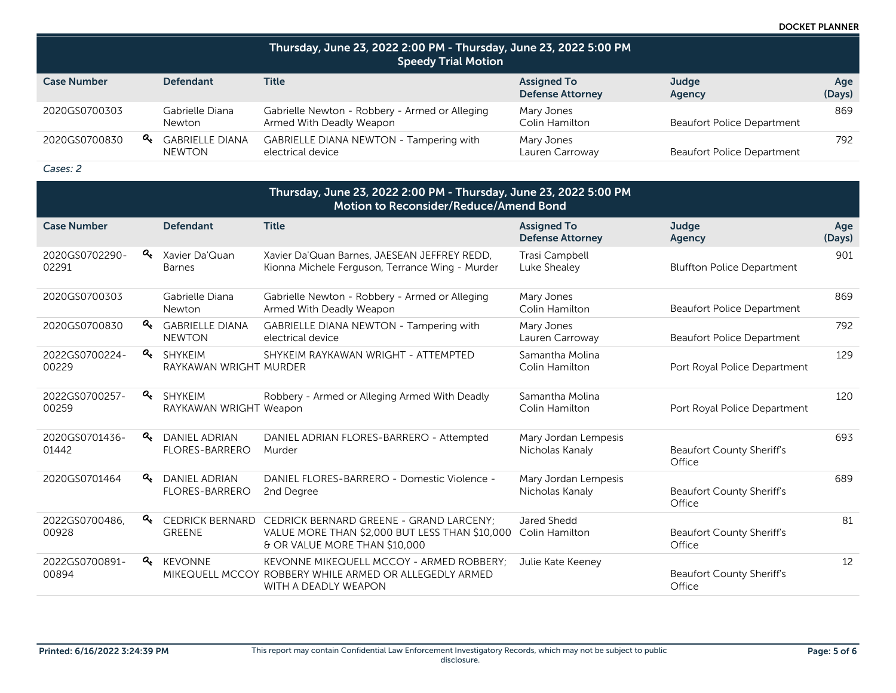DOCKET PLANNER

| Thursday, June 23, 2022 2:00 PM - Thursday, June 23, 2022 5:00 PM<br><b>Speedy Trial Motion</b> |                                  |                                                                            |                                               |                                   |               |  |
|-------------------------------------------------------------------------------------------------|----------------------------------|----------------------------------------------------------------------------|-----------------------------------------------|-----------------------------------|---------------|--|
| <b>Case Number</b>                                                                              | <b>Defendant</b>                 | <b>Title</b>                                                               | <b>Assigned To</b><br><b>Defense Attorney</b> | Judge<br>Agency                   | Age<br>(Days) |  |
| 2020GS0700303                                                                                   | Gabrielle Diana<br><b>Newton</b> | Gabrielle Newton - Robbery - Armed or Alleging<br>Armed With Deadly Weapon | Mary Jones<br>Colin Hamilton                  | <b>Beaufort Police Department</b> | 869           |  |
| a.<br>2020GS0700830                                                                             | <b>GABRIELLE DIANA</b><br>NEWTON | GABRIELLE DIANA NEWTON - Tampering with<br>electrical device               | Mary Jones<br>Lauren Carroway                 | <b>Beaufort Police Department</b> | 792           |  |

| Thursday, June 23, 2022 2:00 PM - Thursday, June 23, 2022 5:00 PM<br>Motion to Reconsider/Reduce/Amend Bond |               |                                               |                                                                                                                                   |                                               |                                            |               |
|-------------------------------------------------------------------------------------------------------------|---------------|-----------------------------------------------|-----------------------------------------------------------------------------------------------------------------------------------|-----------------------------------------------|--------------------------------------------|---------------|
| <b>Case Number</b>                                                                                          |               | <b>Defendant</b>                              | <b>Title</b>                                                                                                                      | <b>Assigned To</b><br><b>Defense Attorney</b> | Judge<br>Agency                            | Age<br>(Days) |
| 2020GS0702290-<br>02291                                                                                     | a.            | Xavier Da'Quan<br><b>Barnes</b>               | Xavier Da'Quan Barnes, JAESEAN JEFFREY REDD,<br>Kionna Michele Ferguson, Terrance Wing - Murder                                   | Trasi Campbell<br>Luke Shealey                | <b>Bluffton Police Department</b>          | 901           |
| 2020GS0700303                                                                                               |               | Gabrielle Diana<br><b>Newton</b>              | Gabrielle Newton - Robbery - Armed or Alleging<br>Armed With Deadly Weapon                                                        | Mary Jones<br>Colin Hamilton                  | <b>Beaufort Police Department</b>          | 869           |
| 2020GS0700830                                                                                               | a.            | <b>GABRIELLE DIANA</b><br><b>NEWTON</b>       | GABRIELLE DIANA NEWTON - Tampering with<br>electrical device                                                                      | Mary Jones<br>Lauren Carroway                 | <b>Beaufort Police Department</b>          | 792           |
| 2022GS0700224-<br>00229                                                                                     | a.            | <b>SHYKEIM</b><br>RAYKAWAN WRIGHT MURDER      | SHYKEIM RAYKAWAN WRIGHT - ATTEMPTED                                                                                               | Samantha Molina<br>Colin Hamilton             | Port Royal Police Department               | 129           |
| 2022GS0700257-<br>00259                                                                                     | a.            | <b>SHYKEIM</b><br>RAYKAWAN WRIGHT Weapon      | Robbery - Armed or Alleging Armed With Deadly                                                                                     | Samantha Molina<br>Colin Hamilton             | Port Royal Police Department               | 120           |
| 2020GS0701436-<br>01442                                                                                     | a.            | <b>DANIEL ADRIAN</b><br><b>FLORES-BARRERO</b> | DANIEL ADRIAN FLORES-BARRERO - Attempted<br>Murder                                                                                | Mary Jordan Lempesis<br>Nicholas Kanaly       | <b>Beaufort County Sheriff's</b><br>Office | 693           |
| 2020GS0701464                                                                                               | a.            | <b>DANIEL ADRIAN</b><br><b>FLORES-BARRERO</b> | DANIEL FLORES-BARRERO - Domestic Violence -<br>2nd Degree                                                                         | Mary Jordan Lempesis<br>Nicholas Kanaly       | <b>Beaufort County Sheriff's</b><br>Office | 689           |
| 2022GS0700486,<br>00928                                                                                     | $a_{\!\star}$ | <b>CEDRICK BERNARD</b><br><b>GREENE</b>       | CEDRICK BERNARD GREENE - GRAND LARCENY;<br>VALUE MORE THAN \$2,000 BUT LESS THAN \$10,000<br>& OR VALUE MORE THAN \$10,000        | Jared Shedd<br>Colin Hamilton                 | <b>Beaufort County Sheriff's</b><br>Office | 81            |
| 2022GS0700891-<br>00894                                                                                     | a.            | <b>KEVONNE</b>                                | <b>KEVONNE MIKEQUELL MCCOY - ARMED ROBBERY:</b><br>MIKEQUELL MCCOY ROBBERY WHILE ARMED OR ALLEGEDLY ARMED<br>WITH A DEADLY WEAPON | Julie Kate Keeney                             | <b>Beaufort County Sheriff's</b><br>Office | 12            |